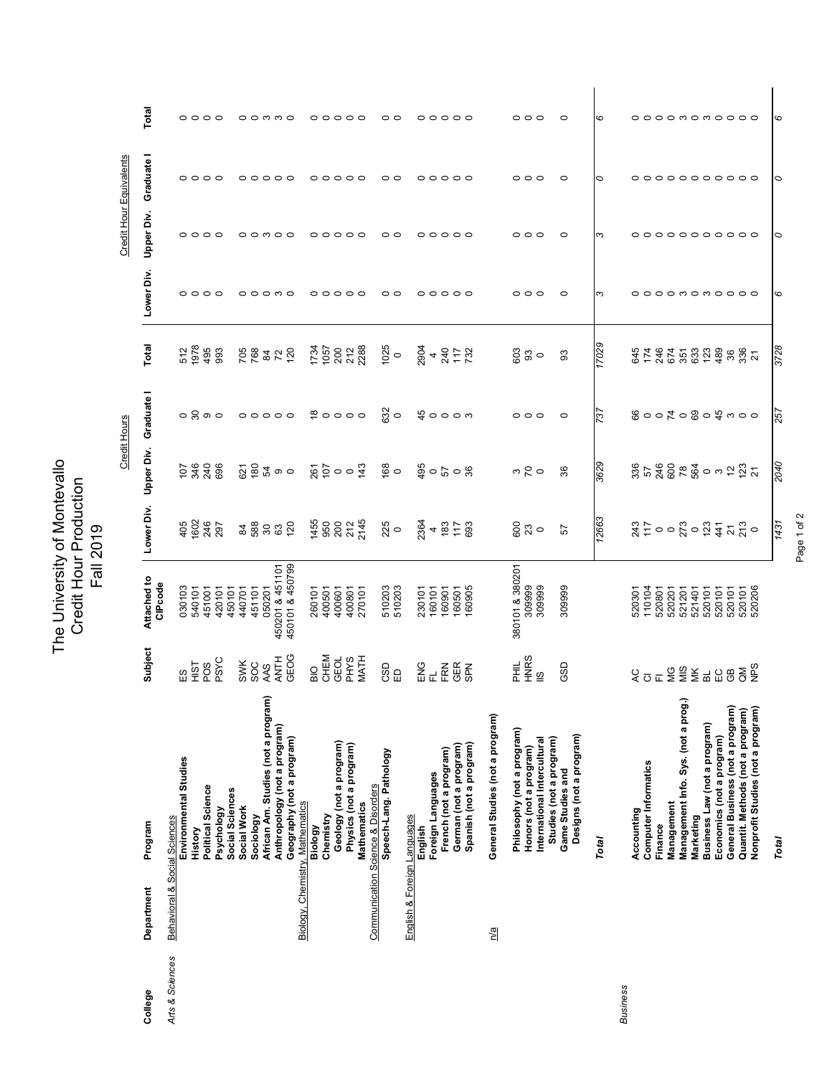|                 |                                 |                                                           |                      |                                    |                 |                                                                                                   | Credit Hours                    |                                |                 |                    | Credit Hour Equivalents |         |
|-----------------|---------------------------------|-----------------------------------------------------------|----------------------|------------------------------------|-----------------|---------------------------------------------------------------------------------------------------|---------------------------------|--------------------------------|-----------------|--------------------|-------------------------|---------|
| College         | Department                      | Program                                                   | Subject              | Attached to<br>CIPcode             | Lower Div.      | <b>Upper Div.</b>                                                                                 | Graduate I                      | Total                          | Lower Div.      | <b>Upper Div.</b>  | Graduate                | Total   |
| Arts & Sciences | Behavioral & Social Sciences    |                                                           |                      |                                    |                 |                                                                                                   |                                 |                                |                 |                    |                         |         |
|                 |                                 | Environmental Studies                                     | 53                   | 030103                             | 405             | <b>02888</b><br>0288                                                                              | $\circ$ $\circ$ $\circ$         | 512<br>1978<br>495             | $\circ$         | 00                 | $\circ$ $\circ$         | $\circ$ |
|                 |                                 | History                                                   | <b>TSIH</b>          | 540101                             | 1602            |                                                                                                   |                                 |                                | $\circ$ $\circ$ |                    |                         | $\circ$ |
|                 |                                 | Political Science                                         | POS                  | 451001                             | 246             |                                                                                                   |                                 |                                |                 | ○                  | $\circ$                 | ○       |
|                 |                                 | Psychology                                                | PSYC                 | 420101                             | 297             |                                                                                                   |                                 |                                | $\circ$         |                    | $\circ$                 |         |
|                 |                                 | Social Sciences                                           |                      | 450101                             |                 |                                                                                                   |                                 |                                |                 |                    |                         |         |
|                 |                                 | Social Work                                               | <b>SWK</b>           | 440701                             | 84              |                                                                                                   |                                 |                                |                 |                    |                         |         |
|                 |                                 | Sociology                                                 | SO <sub>C</sub>      | 451101                             | 588             |                                                                                                   |                                 |                                |                 |                    |                         |         |
|                 |                                 | African Am. Studies (not a program)                       | AAS                  | 050201                             | $80\,$          |                                                                                                   |                                 |                                |                 |                    | ○                       | ო       |
|                 |                                 | Anthropology (not a program)                              | <b>ANTH</b>          | 450201 & 451101<br>450101 & 450799 | $\mathbb{S}^3$  | $\overline{\Omega}$ $\overline{\Omega}$ $\overline{\Omega}$ $\overline{\Omega}$ $\infty$ $\infty$ | $\circ \circ \circ \circ \circ$ | <b>268220120</b>               |                 |                    | $\circ$                 | ∞       |
|                 |                                 | Geography (not a program)                                 | GEOG                 |                                    | 120             |                                                                                                   |                                 |                                |                 |                    |                         |         |
|                 | Biology, Chemistry, Mathematics |                                                           |                      |                                    |                 |                                                                                                   |                                 |                                |                 |                    |                         |         |
|                 |                                 | Biology                                                   | $\frac{1}{10}$       | 260101                             | 1455            | 85007                                                                                             |                                 | 1734<br>1057<br>200<br>2/288   | 00              | 0                  |                         |         |
|                 |                                 | Chemistry                                                 | CHEM                 | 400501                             | 950             |                                                                                                   |                                 |                                |                 | റ                  | ○                       |         |
|                 |                                 | Geology (not a program)                                   | GEOL                 | 400601                             | 200             |                                                                                                   |                                 |                                | $\circ$         | ○                  | っ                       | ⊂       |
|                 |                                 | Physics (not a program)                                   | <b>PHYS</b>          | 400801                             | 212             |                                                                                                   |                                 |                                | $\circ$         | ○                  | $\circ$                 | ○       |
|                 |                                 | <b>Mathematics</b>                                        | <b>MATH</b>          | 270101                             | 2145            |                                                                                                   |                                 |                                | $\circ$         |                    | ○                       |         |
|                 |                                 | <b>Communication Science &amp; Disorders</b>              |                      |                                    |                 |                                                                                                   |                                 |                                |                 |                    |                         |         |
|                 |                                 | Speech-Lang. Pathology                                    | CSD                  | 510203                             | 225             | ္မွာ ၀                                                                                            | $\frac{32}{9}$                  | 1025                           |                 | 0                  | O                       | 0       |
|                 |                                 |                                                           | $\Xi$                | 510203                             | $\circ$         |                                                                                                   |                                 |                                | 00              | ○                  | ○                       |         |
|                 | English & Foreign Languages     |                                                           |                      |                                    |                 |                                                                                                   |                                 |                                |                 |                    |                         |         |
|                 |                                 | English                                                   | ENG                  | 230101                             | 2364            |                                                                                                   |                                 |                                |                 |                    |                         |         |
|                 |                                 | Foreign Languages                                         | 군                    | 160101                             | 4               |                                                                                                   |                                 |                                | 00              |                    | 00                      |         |
|                 |                                 | French (not a program)                                    | FRN                  | 160901                             | 183             |                                                                                                   | $\frac{10}{4}$ 0 0 0 m          |                                | $\circ$         |                    | ○                       |         |
|                 |                                 | German (not a program)                                    | <b>GER</b>           | 160501                             | 117             |                                                                                                   |                                 |                                | $\circ$         |                    | ○                       | ○       |
|                 |                                 | Spanish (not a program)                                   | <b>SPN</b>           | 160905                             | 693             |                                                                                                   |                                 | 2904<br>4<br>240<br>732<br>732 |                 |                    |                         |         |
|                 |                                 |                                                           |                      |                                    |                 |                                                                                                   |                                 |                                |                 |                    |                         |         |
|                 | $\frac{2}{\sqrt{d}}$            | General Studies (not a program)                           |                      |                                    |                 |                                                                                                   |                                 |                                |                 |                    |                         |         |
|                 |                                 | Philosophy (not a program)                                | HH<br>H              | 380101 & 380201                    | 600             |                                                                                                   |                                 |                                | 0               |                    |                         |         |
|                 |                                 | Honors (not a program)                                    | <b>HNRS</b>          | 309999                             | 23              |                                                                                                   | $\circ$ $\circ$                 |                                | $\circ$         | ⌒                  | $\circ$                 |         |
|                 |                                 | International Intercultural                               | $\frac{6}{10}$       | 309999                             | $\circ$         | $\frac{1}{2}$                                                                                     |                                 | $\frac{63}{9}$ 0               | ○               |                    | っ                       |         |
|                 |                                 | Studies (not a program)                                   |                      |                                    |                 |                                                                                                   |                                 |                                |                 |                    |                         |         |
|                 |                                 | Designs (not a program)<br>Game Studies and               | GSD                  | 309999                             | 57              | 36                                                                                                |                                 | 83                             | 0               |                    | 0                       |         |
|                 |                                 |                                                           |                      |                                    |                 |                                                                                                   |                                 |                                |                 |                    |                         |         |
|                 |                                 | <b>Total</b>                                              |                      |                                    | 12663           | 3629                                                                                              | $\frac{2}{3}$                   | 17029                          | ო               | ო                  | ∘                       | ဖ       |
| Business        |                                 |                                                           |                      |                                    |                 |                                                                                                   |                                 |                                |                 |                    |                         |         |
|                 |                                 | Accounting                                                | $\overline{C}$       | 520301                             | 243             |                                                                                                   |                                 | 61269614<br>454556564<br>84641 |                 |                    |                         |         |
|                 |                                 | <b>Computer Informatics</b>                               | $\overline{\circ}$   | 110104                             | 117             |                                                                                                   |                                 |                                |                 |                    |                         |         |
|                 |                                 | Finance                                                   | $\bar{L}$            | 520801                             |                 |                                                                                                   |                                 |                                | $\circ$         |                    | ○                       | ⌒       |
|                 |                                 | Management                                                | ЮĞ                   | 520201                             |                 |                                                                                                   |                                 |                                |                 | ○                  | $\circ$                 |         |
|                 |                                 | Management Info. Sys. (not a prog.)                       | SIM                  | 521201                             |                 |                                                                                                   |                                 |                                |                 | $\circ$            | $\circ$ $\circ$         |         |
|                 |                                 | Marketing                                                 | МK<br>$\overline{a}$ | 521401                             | 123             |                                                                                                   |                                 |                                |                 | $\circ$<br>$\circ$ | $\circ$                 |         |
|                 |                                 | Business Law (not a program)<br>Economics (not a program) | EC                   | 520101<br>520101                   | 441             |                                                                                                   |                                 |                                | omomoo          | $\circ$            | $\circ$                 | onono   |
|                 |                                 | General Business (not a program)                          | GB                   | 520101                             | $\overline{2}1$ |                                                                                                   |                                 | 36                             |                 | ⌒                  | ○                       | ○       |
|                 |                                 | Quantit. Methods (not a program)                          | $\overline{a}$       | 520101                             |                 |                                                                                                   |                                 |                                |                 |                    |                         | ○       |
|                 |                                 | Nonprofit Studies (not a program)                         | SdN                  | 520206                             | 213             |                                                                                                   |                                 | 336                            |                 | c                  |                         | ⊂       |
|                 |                                 |                                                           |                      |                                    |                 |                                                                                                   |                                 |                                |                 |                    |                         |         |
|                 |                                 | <b>Total</b>                                              |                      |                                    | 1431            | 2040                                                                                              | 257                             | 3728                           | ဖ               | ∘                  | ∘                       | ဖ       |

Page 1 of 2 Page 1 of 2